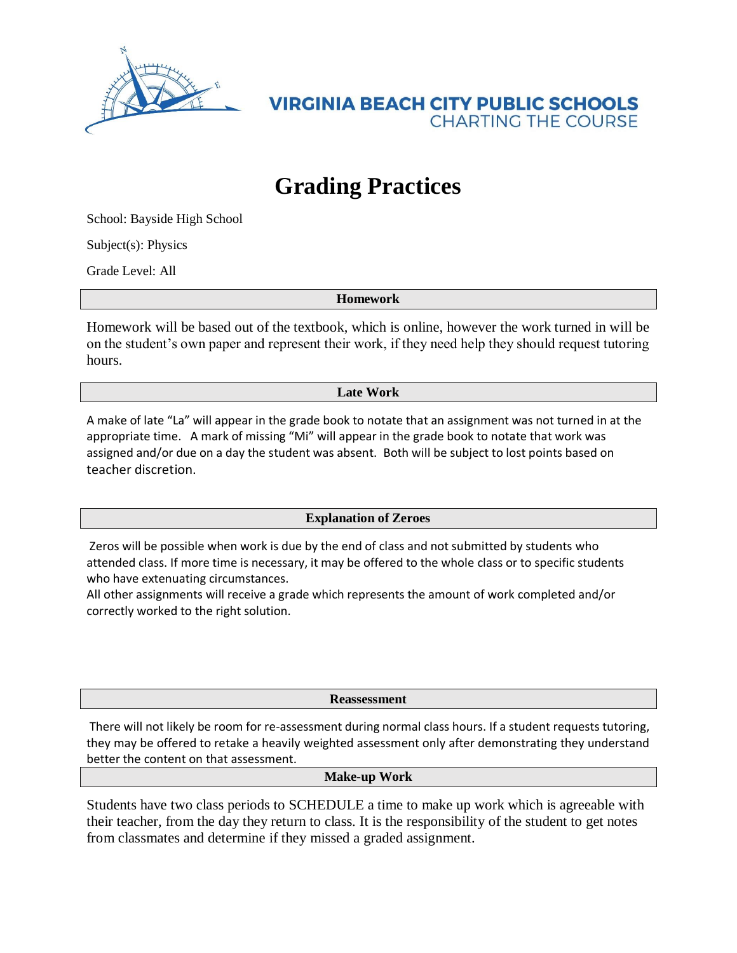

**VIRGINIA BEACH CITY PUBLIC SCHOOLS CHARTING THE COURSE** 

## **Grading Practices**

School: Bayside High School

Subject(s): Physics

Grade Level: All

**Homework**

Homework will be based out of the textbook, which is online, however the work turned in will be on the student's own paper and represent their work, if they need help they should request tutoring hours.

**Late Work**

A make of late "La" will appear in the grade book to notate that an assignment was not turned in at the appropriate time. A mark of missing "Mi" will appear in the grade book to notate that work was assigned and/or due on a day the student was absent. Both will be subject to lost points based on teacher discretion.

## **Explanation of Zeroes**

Zeros will be possible when work is due by the end of class and not submitted by students who attended class. If more time is necessary, it may be offered to the whole class or to specific students who have extenuating circumstances.

All other assignments will receive a grade which represents the amount of work completed and/or correctly worked to the right solution.

**Reassessment**

There will not likely be room for re-assessment during normal class hours. If a student requests tutoring, they may be offered to retake a heavily weighted assessment only after demonstrating they understand better the content on that assessment.

**Make-up Work**

Students have two class periods to SCHEDULE a time to make up work which is agreeable with their teacher, from the day they return to class. It is the responsibility of the student to get notes from classmates and determine if they missed a graded assignment.